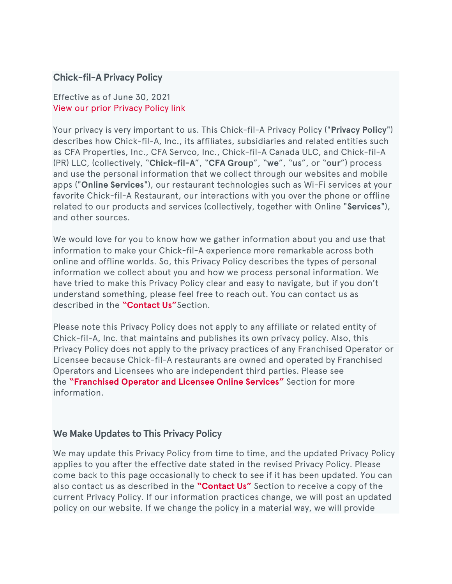#### **Chick-fil-A Privacy Policy**

#### Effective as of June 30, 2021 View our prior [Privacy](https://www.chick-fil-a.com/-/media/8fdc00e06c814bf8a49a4db5405cc716.ashx) Policy link

Your privacy is very important to us. This Chick-fil-A Privacy Policy ("**Privacy Policy**") describes how Chick-fil-A, Inc., its affiliates, subsidiaries and related entities such as CFA Properties, Inc., CFA Servco, Inc., Chick-fil-A Canada ULC, and Chick-fil-A (PR) LLC, (collectively, "**Chick-fil-A**", "**CFA Group**", "**we**", "**us**", or "**our**") process and use the personal information that we collect through our websites and mobile apps ("**Online Services**"), our restaurant technologies such as Wi-Fi services at your favorite Chick-fil-A Restaurant, our interactions with you over the phone or offline related to our products and services (collectively, together with Online "**Services**"), and other sources.

We would love for you to know how we gather information about you and use that information to make your Chick-fil-A experience more remarkable across both online and offline worlds. So, this Privacy Policy describes the types of personal information we collect about you and how we process personal information. We have tried to make this Privacy Policy clear and easy to navigate, but if you don't understand something, please feel free to reach out. You can contact us as described in the **["Contact](https://www.chick-fil-a.com/legal#Contact%20Us%20Section) Us"**Section.

Please note this Privacy Policy does not apply to any affiliate or related entity of Chick-fil-A, Inc. that maintains and publishes its own privacy policy. Also, this Privacy Policy does not apply to the privacy practices of any Franchised Operator or Licensee because Chick-fil-A restaurants are owned and operated by Franchised Operators and Licensees who are independent third parties. Please see the **["Franchised](https://www.chick-fil-a.com/legal#Franchised%20Operator%20and%20Licensee%20Online%20Services) Operator and Licensee Online Services"** Section for more information.

#### **We Make Updates to This Privacy Policy**

We may update this Privacy Policy from time to time, and the updated Privacy Policy applies to you after the effective date stated in the revised Privacy Policy. Please come back to this page occasionally to check to see if it has been updated. You can also contact us as described in the **["Contact](https://www.chick-fil-a.com/legal#Contact%20Us%20Section) Us"** Section to receive a copy of the current Privacy Policy. If our information practices change, we will post an updated policy on our website. If we change the policy in a material way, we will provide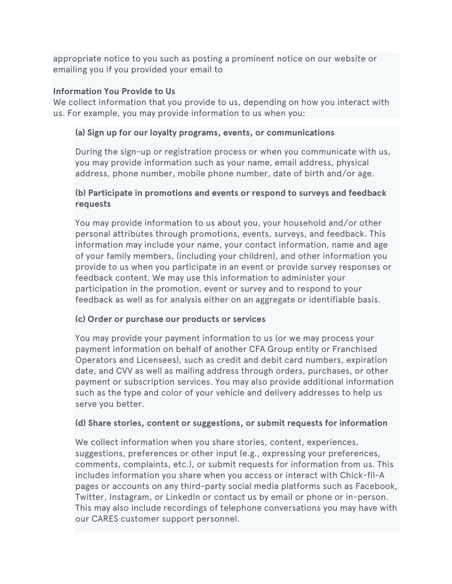appropriate notice to you such as posting a prominent notice on our website or emailing you if you provided your email to

#### **Information You Provide to Us**

We collect information that you provide to us, depending on how you interact with us. For example, you may provide information to us when you:

#### **(a) Sign up for our loyalty programs, events, or communications**

During the sign-up or registration process or when you communicate with us, you may provide information such as your name, email address, physical address, phone number, mobile phone number, date of birth and/or age.

#### **(b) Participate in promotions and events or respond to surveys and feedback requests**

You may provide information to us about you, your household and/or other personal attributes through promotions, events, surveys, and feedback. This information may include your name, your contact information, name and age of your family members, (including your children), and other information you provide to us when you participate in an event or provide survey responses or feedback content. We may use this information to administer your participation in the promotion, event or survey and to respond to your feedback as well as for analysis either on an aggregate or identifiable basis.

#### **(c) Order or purchase our products or services**

You may provide your payment information to us (or we may process your payment information on behalf of another CFA Group entity or Franchised Operators and Licensees), such as credit and debit card numbers, expiration date, and CVV as well as mailing address through orders, purchases, or other payment or subscription services. You may also provide additional information such as the type and color of your vehicle and delivery addresses to help us serve you better.

#### **(d) Share stories, content or suggestions, or submit requests for information**

We collect information when you share stories, content, experiences, suggestions, preferences or other input (e.g., expressing your preferences, comments, complaints, etc.), or submit requests for information from us. This includes information you share when you access or interact with Chick-fil-A pages or accounts on any third-party social media platforms such as Facebook, Twitter, Instagram, or LinkedIn or contact us by email or phone or in-person. This may also include recordings of telephone conversations you may have with our CARES customer support personnel.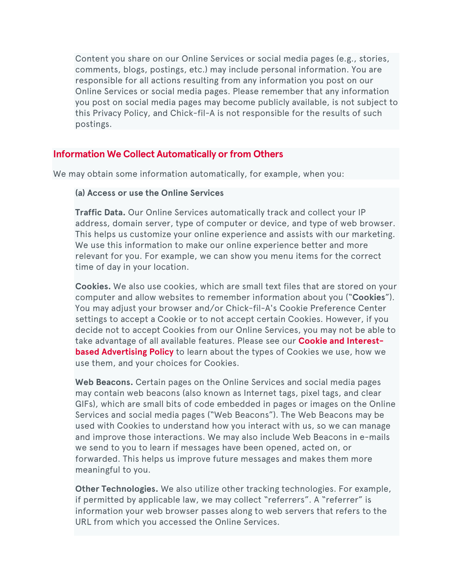Content you share on our Online Services or social media pages (e.g., stories, comments, blogs, postings, etc.) may include personal information. You are responsible for all actions resulting from any information you post on our Online Services or social media pages. Please remember that any information you post on social media pages may become publicly available, is not subject to this Privacy Policy, and Chick-fil-A is not responsible for the results of such postings.

## **Information We Collect Automatically or from Others**

We may obtain some information automatically, for example, when you:

#### **(a) Access or use the Online Services**

**Traffic Data.** Our Online Services automatically track and collect your IP address, domain server, type of computer or device, and type of web browser. This helps us customize your online experience and assists with our marketing. We use this information to make our online experience better and more relevant for you. For example, we can show you menu items for the correct time of day in your location.

**Cookies.** We also use cookies, which are small text files that are stored on your computer and allow websites to remember information about you ("**Cookies**"). You may adjust your browser and/or Chick-fil-A's Cookie Preference Center settings to accept a Cookie or to not accept certain Cookies. However, if you decide not to accept Cookies from our Online Services, you may not be able to take advantage of all available features. Please see our **Cookie and [Interest](https://www.chick-fil-a.com/legal#chick-fil-a_cookie_and_interest-based_advertising_policy)based [Advertising](https://www.chick-fil-a.com/legal#chick-fil-a_cookie_and_interest-based_advertising_policy) Policy** to learn about the types of Cookies we use, how we use them, and your choices for Cookies.

**Web Beacons.** Certain pages on the Online Services and social media pages may contain web beacons (also known as Internet tags, pixel tags, and clear GIFs), which are small bits of code embedded in pages or images on the Online Services and social media pages ("Web Beacons"). The Web Beacons may be used with Cookies to understand how you interact with us, so we can manage and improve those interactions. We may also include Web Beacons in e-mails we send to you to learn if messages have been opened, acted on, or forwarded. This helps us improve future messages and makes them more meaningful to you.

**Other Technologies.** We also utilize other tracking technologies. For example, if permitted by applicable law, we may collect "referrers". A "referrer" is information your web browser passes along to web servers that refers to the URL from which you accessed the Online Services.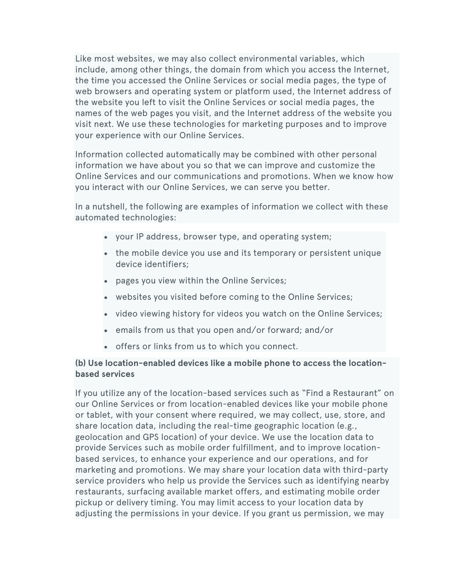Like most websites, we may also collect environmental variables, which include, among other things, the domain from which you access the Internet, the time you accessed the Online Services or social media pages, the type of web browsers and operating system or platform used, the Internet address of the website you left to visit the Online Services or social media pages, the names of the web pages you visit, and the Internet address of the website you visit next. We use these technologies for marketing purposes and to improve your experience with our Online Services.

Information collected automatically may be combined with other personal information we have about you so that we can improve and customize the Online Services and our communications and promotions. When we know how you interact with our Online Services, we can serve you better.

In a nutshell, the following are examples of information we collect with these automated technologies:

- your IP address, browser type, and operating system;
- the mobile device you use and its temporary or persistent unique device identifiers;
- pages you view within the Online Services;
- websites you visited before coming to the Online Services;
- video viewing history for videos you watch on the Online Services;
- emails from us that you open and/or forward; and/or
- offers or links from us to which you connect.

#### **(b) Use location-enabled devices like a mobile phone to access the locationbased services**

If you utilize any of the location-based services such as "Find a Restaurant" on our Online Services or from location-enabled devices like your mobile phone or tablet, with your consent where required, we may collect, use, store, and share location data, including the real-time geographic location (e.g., geolocation and GPS location) of your device. We use the location data to provide Services such as mobile order fulfillment, and to improve locationbased services, to enhance your experience and our operations, and for marketing and promotions. We may share your location data with third-party service providers who help us provide the Services such as identifying nearby restaurants, surfacing available market offers, and estimating mobile order pickup or delivery timing. You may limit access to your location data by adjusting the permissions in your device. If you grant us permission, we may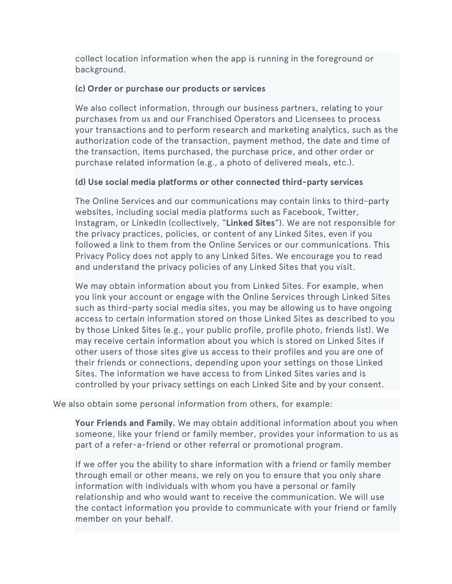collect location information when the app is running in the foreground or background.

#### **(c) Order or purchase our products or services**

We also collect information, through our business partners, relating to your purchases from us and our Franchised Operators and Licensees to process your transactions and to perform research and marketing analytics, such as the authorization code of the transaction, payment method, the date and time of the transaction, items purchased, the purchase price, and other order or purchase related information (e.g., a photo of delivered meals, etc.).

#### **(d) Use social media platforms or other connected third-party services**

The Online Services and our communications may contain links to third-party websites, including social media platforms such as Facebook, Twitter, Instagram, or LinkedIn (collectively, "**Linked Sites**"). We are not responsible for the privacy practices, policies, or content of any Linked Sites, even if you followed a link to them from the Online Services or our communications. This Privacy Policy does not apply to any Linked Sites. We encourage you to read and understand the privacy policies of any Linked Sites that you visit.

We may obtain information about you from Linked Sites. For example, when you link your account or engage with the Online Services through Linked Sites such as third-party social media sites, you may be allowing us to have ongoing access to certain information stored on those Linked Sites as described to you by those Linked Sites (e.g., your public profile, profile photo, friends list). We may receive certain information about you which is stored on Linked Sites if other users of those sites give us access to their profiles and you are one of their friends or connections, depending upon your settings on those Linked Sites. The information we have access to from Linked Sites varies and is controlled by your privacy settings on each Linked Site and by your consent.

We also obtain some personal information from others, for example:

**Your Friends and Family.** We may obtain additional information about you when someone, like your friend or family member, provides your information to us as part of a refer-a-friend or other referral or promotional program.

If we offer you the ability to share information with a friend or family member through email or other means, we rely on you to ensure that you only share information with individuals with whom you have a personal or family relationship and who would want to receive the communication. We will use the contact information you provide to communicate with your friend or family member on your behalf.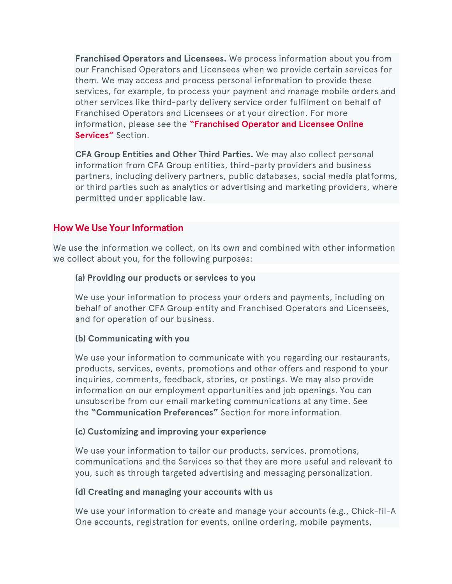**Franchised Operators and Licensees.** We process information about you from our Franchised Operators and Licensees when we provide certain services for them. We may access and process personal information to provide these services, for example, to process your payment and manage mobile orders and other services like third-party delivery service order fulfilment on behalf of Franchised Operators and Licensees or at your direction. For more information, please see the **["Franchised](https://www.chick-fil-a.com/legal#Franchised%20Operator%20and%20Licensee%20Online%20Services) Operator and Licensee Online [Services"](https://www.chick-fil-a.com/legal#Franchised%20Operator%20and%20Licensee%20Online%20Services)** Section.

**CFA Group Entities and Other Third Parties.** We may also collect personal information from CFA Group entities, third-party providers and business partners, including delivery partners, public databases, social media platforms, or third parties such as analytics or advertising and marketing providers, where permitted under applicable law.

## **How We Use Your Information**

We use the information we collect, on its own and combined with other information we collect about you, for the following purposes:

#### **(a) Providing our products or services to you**

We use your information to process your orders and payments, including on behalf of another CFA Group entity and Franchised Operators and Licensees, and for operation of our business.

#### **(b) Communicating with you**

We use your information to communicate with you regarding our restaurants, products, services, events, promotions and other offers and respond to your inquiries, comments, feedback, stories, or postings. We may also provide information on our employment opportunities and job openings. You can unsubscribe from our email marketing communications at any time. See the **"Communication Preferences"** Section for more information.

#### **(c) Customizing and improving your experience**

We use your information to tailor our products, services, promotions, communications and the Services so that they are more useful and relevant to you, such as through targeted advertising and messaging personalization.

#### **(d) Creating and managing your accounts with us**

We use your information to create and manage your accounts (e.g., Chick-fil-A One accounts, registration for events, online ordering, mobile payments,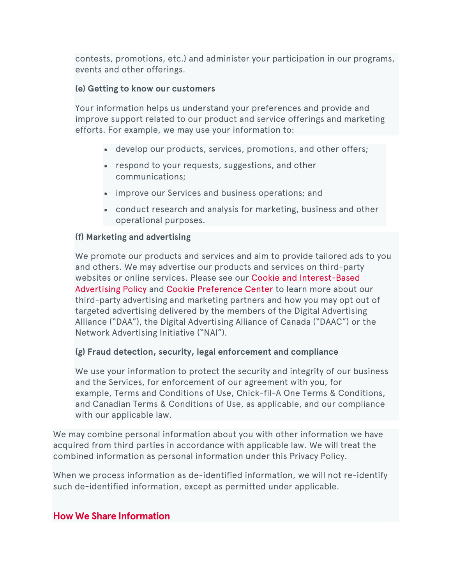contests, promotions, etc.) and administer your participation in our programs, events and other offerings.

#### **(e) Getting to know our customers**

Your information helps us understand your preferences and provide and improve support related to our product and service offerings and marketing efforts. For example, we may use your information to:

- develop our products, services, promotions, and other offers;
- respond to your requests, suggestions, and other communications;
- improve our Services and business operations; and
- conduct research and analysis for marketing, business and other operational purposes.

#### **(f) Marketing and advertising**

We promote our products and services and aim to provide tailored ads to you and others. We may advertise our products and services on third-party websites or online services. Please see our Cookie and [Interest-Based](https://www.chick-fil-a.com/legal#chick-fil-a_cookie_and_interest-based_advertising_policy) [Advertising](https://www.chick-fil-a.com/legal#chick-fil-a_cookie_and_interest-based_advertising_policy) Policy and Cookie [Preference](https://www.chick-fil-a.com/#ot-sdk-show-settings) Center to learn more about our third-party advertising and marketing partners and how you may opt out of targeted advertising delivered by the members of the Digital Advertising Alliance ("DAA"), the Digital Advertising Alliance of Canada ("DAAC") or the Network Advertising Initiative ("NAI").

#### **(g) Fraud detection, security, legal enforcement and compliance**

We use your information to protect the security and integrity of our business and the Services, for enforcement of our agreement with you, for example, Terms and Conditions of Use, Chick-fil-A One Terms & Conditions, and Canadian Terms & Conditions of Use, as applicable, and our compliance with our applicable law.

We may combine personal information about you with other information we have acquired from third parties in accordance with applicable law. We will treat the combined information as personal information under this Privacy Policy.

When we process information as de-identified information, we will not re-identify such de-identified information, except as permitted under applicable.

## **How We Share Information**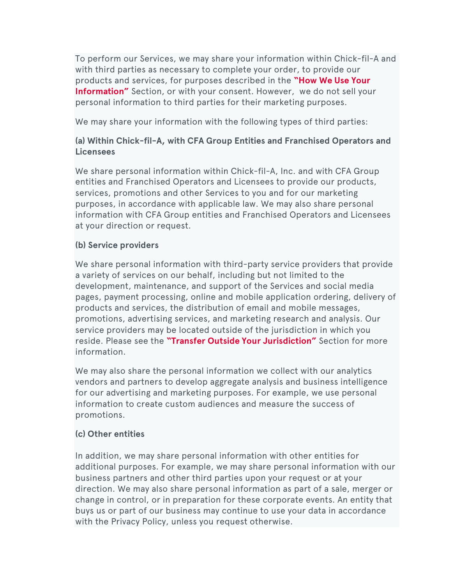To perform our Services, we may share your information within Chick-fil-A and with third parties as necessary to complete your order, to provide our products and services, for purposes described in the **["How](https://www.chick-fil-a.com/legal#How%20We%20Use%20Your%20Information) We Use Your [Information"](https://www.chick-fil-a.com/legal#How%20We%20Use%20Your%20Information)** Section, or with your consent. However, we do not sell your personal information to third parties for their marketing purposes.

We may share your information with the following types of third parties:

## **(a) Within Chick-fil-A, with CFA Group Entities and Franchised Operators and Licensees**

We share personal information within Chick-fil-A, Inc. and with CFA Group entities and Franchised Operators and Licensees to provide our products, services, promotions and other Services to you and for our marketing purposes, in accordance with applicable law. We may also share personal information with CFA Group entities and Franchised Operators and Licensees at your direction or request.

#### **(b) Service providers**

We share personal information with third-party service providers that provide a variety of services on our behalf, including but not limited to the development, maintenance, and support of the Services and social media pages, payment processing, online and mobile application ordering, delivery of products and services, the distribution of email and mobile messages, promotions, advertising services, and marketing research and analysis. Our service providers may be located outside of the jurisdiction in which you reside. Please see the **"Transfer Outside Your [Jurisdiction"](https://www.chick-fil-a.com/legal#Transfers%20of%20Personal%20Information%20Outside%20Your%20Jurisdiction)** Section for more information.

We may also share the personal information we collect with our analytics vendors and partners to develop aggregate analysis and business intelligence for our advertising and marketing purposes. For example, we use personal information to create custom audiences and measure the success of promotions.

#### **(c) Other entities**

In addition, we may share personal information with other entities for additional purposes. For example, we may share personal information with our business partners and other third parties upon your request or at your direction. We may also share personal information as part of a sale, merger or change in control, or in preparation for these corporate events. An entity that buys us or part of our business may continue to use your data in accordance with the Privacy Policy, unless you request otherwise.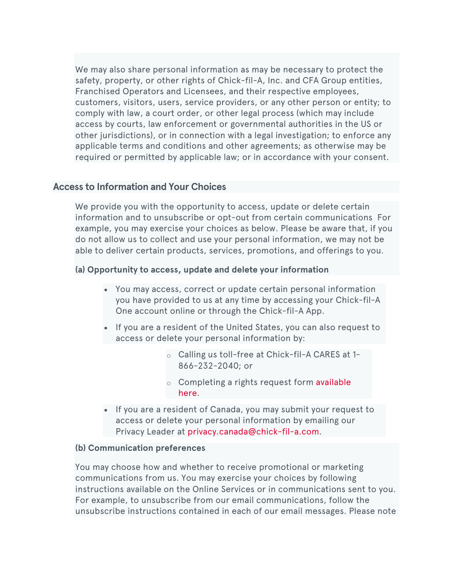We may also share personal information as may be necessary to protect the safety, property, or other rights of Chick-fil-A, Inc. and CFA Group entities, Franchised Operators and Licensees, and their respective employees, customers, visitors, users, service providers, or any other person or entity; to comply with law, a court order, or other legal process (which may include access by courts, law enforcement or governmental authorities in the US or other jurisdictions), or in connection with a legal investigation; to enforce any applicable terms and conditions and other agreements; as otherwise may be required or permitted by applicable law; or in accordance with your consent.

#### **Access to Information and Your Choices**

We provide you with the opportunity to access, update or delete certain information and to unsubscribe or opt-out from certain communications For example, you may exercise your choices as below. Please be aware that, if you do not allow us to collect and use your personal information, we may not be able to deliver certain products, services, promotions, and offerings to you.

#### **(a) Opportunity to access, update and delete your information**

- You may access, correct or update certain personal information you have provided to us at any time by accessing your Chick-fil-A One account online or through the Chick-fil-A App.
- If you are a resident of the United States, you can also request to access or delete your personal information by:
	- o Calling us toll-free at Chick-fil-A CARES at 1- 866-232-2040; or
	- o Completing a rights request form [available](https://privacyportal.onetrust.com/webform/63dc78c7-5612-4181-beae-47dead0569ee/525cd1e7-5390-470e-916d-3b8c60b8cedb) [here.](https://privacyportal.onetrust.com/webform/63dc78c7-5612-4181-beae-47dead0569ee/525cd1e7-5390-470e-916d-3b8c60b8cedb)
- If you are a resident of Canada, you may submit your request to access or delete your personal information by emailing our Privacy Leader at [privacy.canada@chick-fil-a.com.](mailto:mailto:privacy.canada@chick-fil-a.com)

#### **(b) Communication preferences**

You may choose how and whether to receive promotional or marketing communications from us. You may exercise your choices by following instructions available on the Online Services or in communications sent to you. For example, to unsubscribe from our email communications, follow the unsubscribe instructions contained in each of our email messages. Please note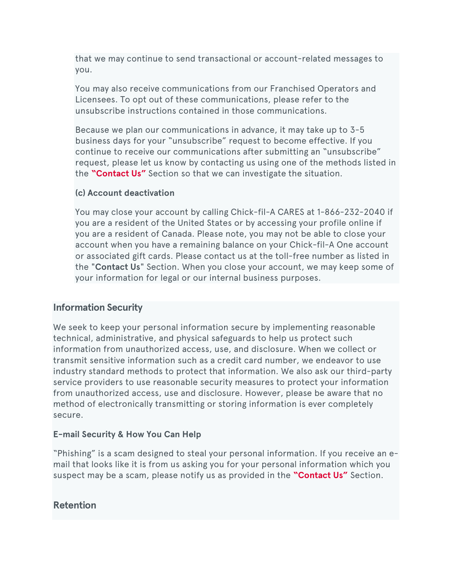that we may continue to send transactional or account-related messages to you.

You may also receive communications from our Franchised Operators and Licensees. To opt out of these communications, please refer to the unsubscribe instructions contained in those communications.

Because we plan our communications in advance, it may take up to 3-5 business days for your "unsubscribe" request to become effective. If you continue to receive our communications after submitting an "unsubscribe" request, please let us know by contacting us using one of the methods listed in the **["Contact](https://www.chick-fil-a.com/legal#Contact%20Us%20Section) Us"** Section so that we can investigate the situation.

#### **(c) Account deactivation**

You may close your account by calling Chick-fil-A CARES at 1-866-232-2040 if you are a resident of the United States or by accessing your profile online if you are a resident of Canada. Please note, you may not be able to close your account when you have a remaining balance on your Chick-fil-A One account or associated gift cards. Please contact us at the toll-free number as listed in the "**Contact Us**" Section. When you close your account, we may keep some of your information for legal or our internal business purposes.

#### **Information Security**

We seek to keep your personal information secure by implementing reasonable technical, administrative, and physical safeguards to help us protect such information from unauthorized access, use, and disclosure. When we collect or transmit sensitive information such as a credit card number, we endeavor to use industry standard methods to protect that information. We also ask our third-party service providers to use reasonable security measures to protect your information from unauthorized access, use and disclosure. However, please be aware that no method of electronically transmitting or storing information is ever completely secure.

#### **E-mail Security & How You Can Help**

"Phishing" is a scam designed to steal your personal information. If you receive an email that looks like it is from us asking you for your personal information which you suspect may be a scam, please notify us as provided in the **["Contact](https://www.chick-fil-a.com/legal#Contact%20Us%20Section) Us"** Section.

#### **Retention**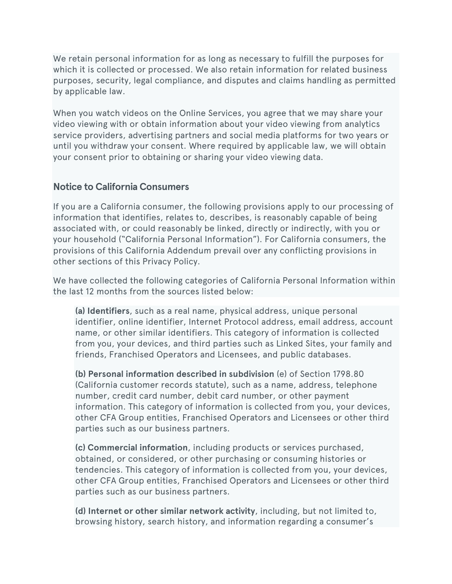We retain personal information for as long as necessary to fulfill the purposes for which it is collected or processed. We also retain information for related business purposes, security, legal compliance, and disputes and claims handling as permitted by applicable law.

When you watch videos on the Online Services, you agree that we may share your video viewing with or obtain information about your video viewing from analytics service providers, advertising partners and social media platforms for two years or until you withdraw your consent. Where required by applicable law, we will obtain your consent prior to obtaining or sharing your video viewing data.

## **Notice to California Consumers**

If you are a California consumer, the following provisions apply to our processing of information that identifies, relates to, describes, is reasonably capable of being associated with, or could reasonably be linked, directly or indirectly, with you or your household ("California Personal Information"). For California consumers, the provisions of this California Addendum prevail over any conflicting provisions in other sections of this Privacy Policy.

We have collected the following categories of California Personal Information within the last 12 months from the sources listed below:

**(a) Identifiers**, such as a real name, physical address, unique personal identifier, online identifier, Internet Protocol address, email address, account name, or other similar identifiers. This category of information is collected from you, your devices, and third parties such as Linked Sites, your family and friends, Franchised Operators and Licensees, and public databases.

**(b) Personal information described in subdivision** (e) of Section 1798.80 (California customer records statute), such as a name, address, telephone number, credit card number, debit card number, or other payment information. This category of information is collected from you, your devices, other CFA Group entities, Franchised Operators and Licensees or other third parties such as our business partners.

**(c) Commercial information**, including products or services purchased, obtained, or considered, or other purchasing or consuming histories or tendencies. This category of information is collected from you, your devices, other CFA Group entities, Franchised Operators and Licensees or other third parties such as our business partners.

**(d) Internet or other similar network activity**, including, but not limited to, browsing history, search history, and information regarding a consumer's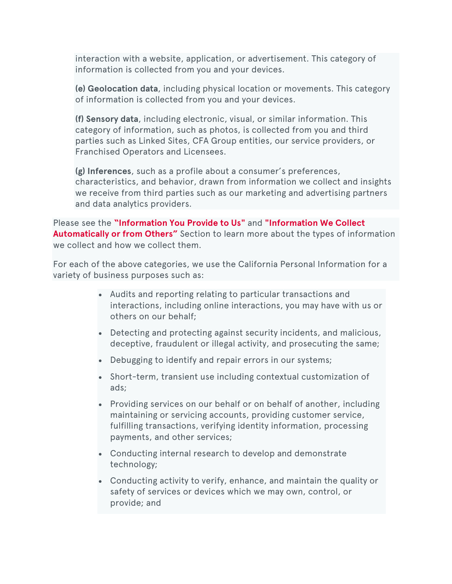interaction with a website, application, or advertisement. This category of information is collected from you and your devices.

**(e) Geolocation data**, including physical location or movements. This category of information is collected from you and your devices.

**(f) Sensory data**, including electronic, visual, or similar information. This category of information, such as photos, is collected from you and third parties such as Linked Sites, CFA Group entities, our service providers, or Franchised Operators and Licensees.

**(g) Inferences**, such as a profile about a consumer's preferences, characteristics, and behavior, drawn from information we collect and insights we receive from third parties such as our marketing and advertising partners and data analytics providers.

Please see the **["Information](https://www.chick-fil-a.com/legal#Information%20We%20Collect%20Automatically%20Section) You Provide to Us"** and **["Information](https://www.chick-fil-a.com/legal#Information%20We%20Collect%20Automatically%20Section) We Collect [Automatically](https://www.chick-fil-a.com/legal#Information%20We%20Collect%20Automatically%20Section) or from Others"** Section to learn more about the types of information we collect and how we collect them.

For each of the above categories, we use the California Personal Information for a variety of business purposes such as:

- Audits and reporting relating to particular transactions and interactions, including online interactions, you may have with us or others on our behalf;
- Detecting and protecting against security incidents, and malicious, deceptive, fraudulent or illegal activity, and prosecuting the same;
- Debugging to identify and repair errors in our systems;
- Short-term, transient use including contextual customization of ads;
- Providing services on our behalf or on behalf of another, including maintaining or servicing accounts, providing customer service, fulfilling transactions, verifying identity information, processing payments, and other services;
- Conducting internal research to develop and demonstrate technology;
- Conducting activity to verify, enhance, and maintain the quality or safety of services or devices which we may own, control, or provide; and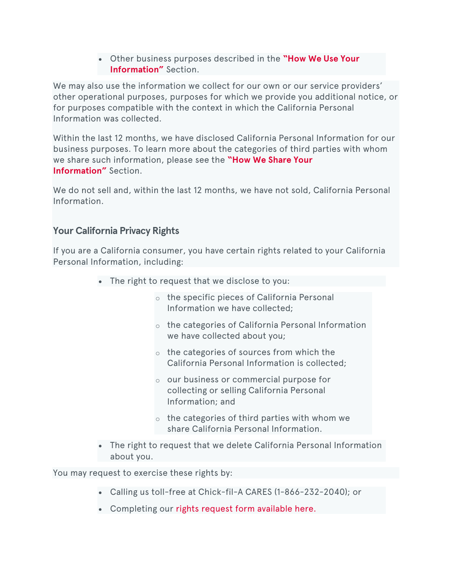• Other business purposes described in the **["How](https://www.chick-fil-a.com/legal#How%20We%20Use%20Your%20Information) We Use Your [Information"](https://www.chick-fil-a.com/legal#How%20We%20Use%20Your%20Information)** Section.

We may also use the information we collect for our own or our service providers' other operational purposes, purposes for which we provide you additional notice, or for purposes compatible with the context in which the California Personal Information was collected.

Within the last 12 months, we have disclosed California Personal Information for our business purposes. To learn more about the categories of third parties with whom we share such information, please see the **["How](https://www.chick-fil-a.com/legal#How%20We%20Share%20Information) We Share Your [Information"](https://www.chick-fil-a.com/legal#How%20We%20Share%20Information)** Section.

We do not sell and, within the last 12 months, we have not sold, California Personal Information.

## **Your California Privacy Rights**

If you are a California consumer, you have certain rights related to your California Personal Information, including:

- The right to request that we disclose to you:
	- o the specific pieces of California Personal Information we have collected;
	- o the categories of California Personal Information we have collected about you;
	- o the categories of sources from which the California Personal Information is collected;
	- o our business or commercial purpose for collecting or selling California Personal Information; and
	- $\circ$  the categories of third parties with whom we share California Personal Information.
- The right to request that we delete California Personal Information about you.

You may request to exercise these rights by:

- Calling us toll-free at Chick-fil-A CARES (1-866-232-2040); or
- Completing our rights request form [available](https://privacyportal.onetrust.com/webform/63dc78c7-5612-4181-beae-47dead0569ee/525cd1e7-5390-470e-916d-3b8c60b8cedb) here.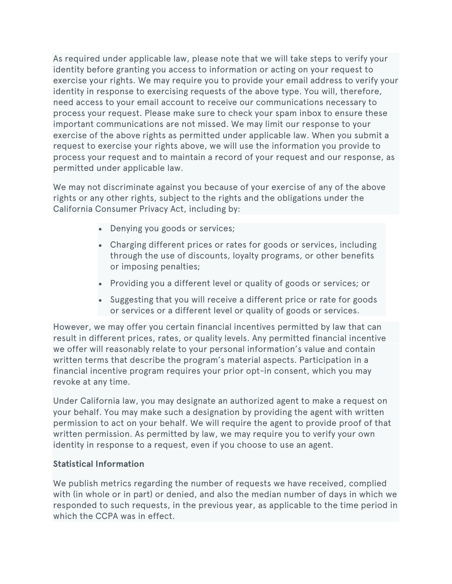As required under applicable law, please note that we will take steps to verify your identity before granting you access to information or acting on your request to exercise your rights. We may require you to provide your email address to verify your identity in response to exercising requests of the above type. You will, therefore, need access to your email account to receive our communications necessary to process your request. Please make sure to check your spam inbox to ensure these important communications are not missed. We may limit our response to your exercise of the above rights as permitted under applicable law. When you submit a request to exercise your rights above, we will use the information you provide to process your request and to maintain a record of your request and our response, as permitted under applicable law.

We may not discriminate against you because of your exercise of any of the above rights or any other rights, subject to the rights and the obligations under the California Consumer Privacy Act, including by:

- Denying you goods or services;
- Charging different prices or rates for goods or services, including through the use of discounts, loyalty programs, or other benefits or imposing penalties;
- Providing you a different level or quality of goods or services; or
- Suggesting that you will receive a different price or rate for goods or services or a different level or quality of goods or services.

However, we may offer you certain financial incentives permitted by law that can result in different prices, rates, or quality levels. Any permitted financial incentive we offer will reasonably relate to your personal information's value and contain written terms that describe the program's material aspects. Participation in a financial incentive program requires your prior opt-in consent, which you may revoke at any time.

Under California law, you may designate an authorized agent to make a request on your behalf. You may make such a designation by providing the agent with written permission to act on your behalf. We will require the agent to provide proof of that written permission. As permitted by law, we may require you to verify your own identity in response to a request, even if you choose to use an agent.

#### **Statistical Information**

We publish metrics regarding the number of requests we have received, complied with (in whole or in part) or denied, and also the median number of days in which we responded to such requests, in the previous year, as applicable to the time period in which the CCPA was in effect.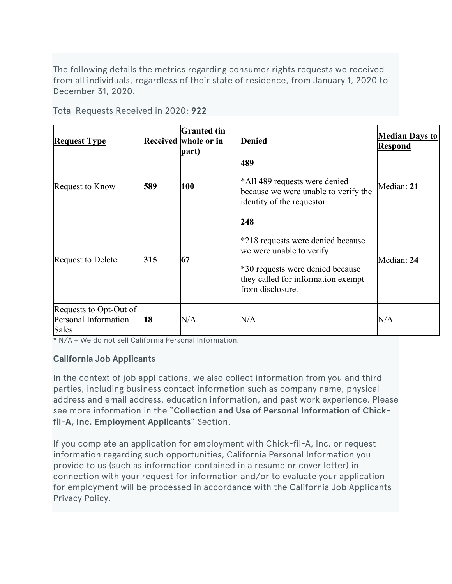The following details the metrics regarding consumer rights requests we received from all individuals, regardless of their state of residence, from January 1, 2020 to December 31, 2020.

Total Requests Received in 2020: **922**

| <b>Request Type</b>                                     |     | <b>Granted</b> (in<br>Received whole or in<br>part) | <b>Denied</b>                                                                                                                                                      | <b>Median Days to</b><br><b>Respond</b> |
|---------------------------------------------------------|-----|-----------------------------------------------------|--------------------------------------------------------------------------------------------------------------------------------------------------------------------|-----------------------------------------|
| Request to Know                                         | 589 | 100                                                 | 489<br>*All 489 requests were denied<br>because we were unable to verify the<br>identity of the requestor                                                          | Median: 21                              |
| Request to Delete                                       | 315 | 67                                                  | 248<br>*218 requests were denied because<br>we were unable to verify<br>*30 requests were denied because<br>they called for information exempt<br>from disclosure. | Median: 24                              |
| Requests to Opt-Out of<br>Personal Information<br>Sales | 18  | N/A                                                 | $\rm N/A$                                                                                                                                                          | N/A                                     |

\* N/A – We do not sell California Personal Information.

#### **California Job Applicants**

In the context of job applications, we also collect information from you and third parties, including business contact information such as company name, physical address and email address, education information, and past work experience. Please see more information in the "**Collection and Use of Personal Information of Chickfil-A, Inc. Employment Applicants**" Section.

If you complete an application for employment with Chick-fil-A, Inc. or request information regarding such opportunities, California Personal Information you provide to us (such as information contained in a resume or cover letter) in connection with your request for information and/or to evaluate your application for employment will be processed in accordance with the California Job Applicants Privacy Policy.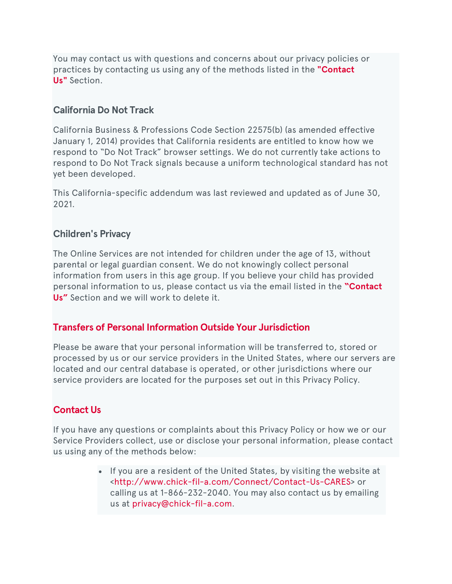You may contact us with questions and concerns about our privacy policies or practices by contacting us using any of the methods listed in the **["Contact](https://www.chick-fil-a.com/EditorPage.aspx?da=core&id=%7B254B27BE-E93A-42D2-A8D1-24835A2749BB%7D&ed=FIELD731556593&vs&la=en&fld=%7BFE1B8630-F295-4063-B25F-D3C154F1A96A%7D&so&di=0&hdl=H731556604&mo&pe=0&fbd=1#Contact%20Us%20Section) [Us"](https://www.chick-fil-a.com/EditorPage.aspx?da=core&id=%7B254B27BE-E93A-42D2-A8D1-24835A2749BB%7D&ed=FIELD731556593&vs&la=en&fld=%7BFE1B8630-F295-4063-B25F-D3C154F1A96A%7D&so&di=0&hdl=H731556604&mo&pe=0&fbd=1#Contact%20Us%20Section)** Section.

## **California Do Not Track**

California Business & Professions Code Section 22575(b) (as amended effective January 1, 2014) provides that California residents are entitled to know how we respond to "Do Not Track" browser settings. We do not currently take actions to respond to Do Not Track signals because a uniform technological standard has not yet been developed.

This California-specific addendum was last reviewed and updated as of June 30, 2021.

## **Children's Privacy**

The Online Services are not intended for children under the age of 13, without parental or legal guardian consent. We do not knowingly collect personal information from users in this age group. If you believe your child has provided personal information to us, please contact us via the email listed in the **["Contact](https://www.chick-fil-a.com/legal#Contact%20Us%20Section) [Us"](https://www.chick-fil-a.com/legal#Contact%20Us%20Section)** Section and we will work to delete it.

## **Transfers of Personal Information Outside Your Jurisdiction**

Please be aware that your personal information will be transferred to, stored or processed by us or our service providers in the United States, where our servers are located and our central database is operated, or other jurisdictions where our service providers are located for the purposes set out in this Privacy Policy.

## **Contact Us**

If you have any questions or complaints about this Privacy Policy or how we or our Service Providers collect, use or disclose your personal information, please contact us using any of the methods below:

> • If you are a resident of the United States, by visiting the website at [<http://www.chick-fil-a.com/Connect/Contact-Us-CARES>](http://www.chick-fil-a.com/Connect/Contact-Us-CARES) or calling us at 1-866-232-2040. You may also contact us by emailing us at [privacy@chick-fil-a.com.](mailto:mailto:privacy@chick-fil-a.com)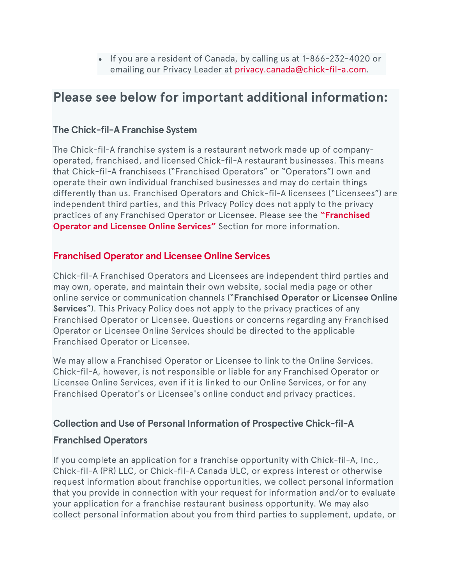• If you are a resident of Canada, by calling us at 1-866-232-4020 or emailing our Privacy Leader at [privacy.canada@chick-fil-a.com.](mailto:privacy.canada@chick-fil-a.com)

# **Please see below for important additional information:**

## **The Chick-fil-A Franchise System**

The Chick-fil-A franchise system is a restaurant network made up of companyoperated, franchised, and licensed Chick-fil-A restaurant businesses. This means that Chick-fil-A franchisees ("Franchised Operators" or "Operators") own and operate their own individual franchised businesses and may do certain things differently than us. Franchised Operators and Chick-fil-A licensees ("Licensees") are independent third parties, and this Privacy Policy does not apply to the privacy practices of any Franchised Operator or Licensee. Please see the **["Franchised](https://www.chick-fil-a.com/legal#Franchised%20Operator%20and%20Licensee%20Online%20Services) Operator and Licensee Online [Services"](https://www.chick-fil-a.com/legal#Franchised%20Operator%20and%20Licensee%20Online%20Services)** Section for more information.

## **Franchised Operator and Licensee Online Services**

Chick-fil-A Franchised Operators and Licensees are independent third parties and may own, operate, and maintain their own website, social media page or other online service or communication channels ("**Franchised Operator or Licensee Online Services**"). This Privacy Policy does not apply to the privacy practices of any Franchised Operator or Licensee. Questions or concerns regarding any Franchised Operator or Licensee Online Services should be directed to the applicable Franchised Operator or Licensee.

We may allow a Franchised Operator or Licensee to link to the Online Services. Chick-fil-A, however, is not responsible or liable for any Franchised Operator or Licensee Online Services, even if it is linked to our Online Services, or for any Franchised Operator's or Licensee's online conduct and privacy practices.

## **Collection and Use of Personal Information of Prospective Chick-fil-A**

## **Franchised Operators**

If you complete an application for a franchise opportunity with Chick-fil-A, Inc., Chick-fil-A (PR) LLC, or Chick-fil-A Canada ULC, or express interest or otherwise request information about franchise opportunities, we collect personal information that you provide in connection with your request for information and/or to evaluate your application for a franchise restaurant business opportunity. We may also collect personal information about you from third parties to supplement, update, or